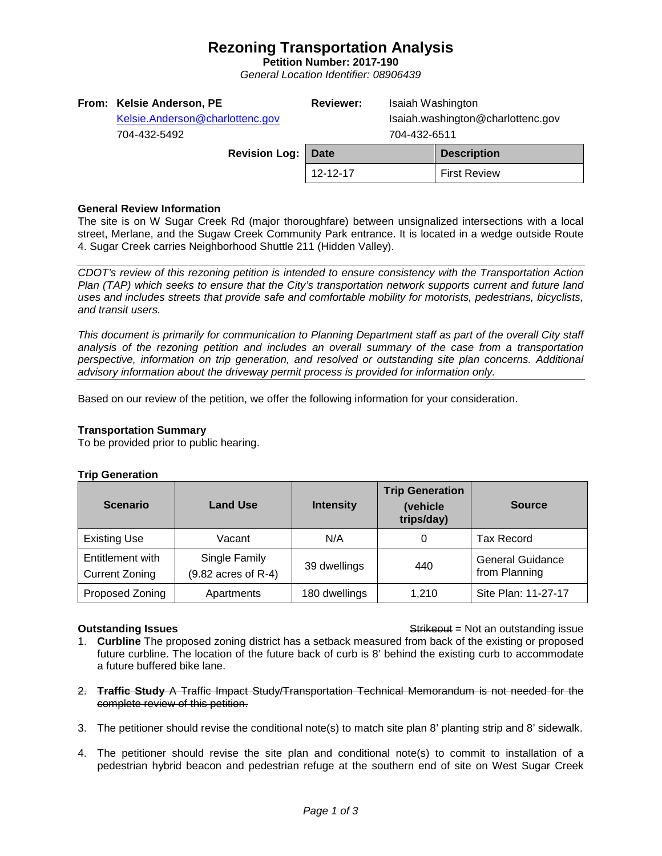## **Rezoning Transportation Analysis**

**Petition Number: 2017-190** *General Location Identifier: 08906439*

| From: Kelsie Anderson, PE<br>Kelsie.Anderson@charlottenc.gov<br>704-432-5492 | Isaiah Washington<br><b>Reviewer:</b><br>Isaiah.washington@charlottenc.gov<br>704-432-6511 |  |                     |
|------------------------------------------------------------------------------|--------------------------------------------------------------------------------------------|--|---------------------|
| Revision Log:                                                                | <b>Date</b>                                                                                |  | <b>Description</b>  |
|                                                                              | 12-12-17                                                                                   |  | <b>First Review</b> |

### **General Review Information**

The site is on W Sugar Creek Rd (major thoroughfare) between unsignalized intersections with a local street, Merlane, and the Sugaw Creek Community Park entrance. It is located in a wedge outside Route 4. Sugar Creek carries Neighborhood Shuttle 211 (Hidden Valley).

*CDOT's review of this rezoning petition is intended to ensure consistency with the Transportation Action Plan (TAP) which seeks to ensure that the City's transportation network supports current and future land uses and includes streets that provide safe and comfortable mobility for motorists, pedestrians, bicyclists, and transit users.*

*This document is primarily for communication to Planning Department staff as part of the overall City staff analysis of the rezoning petition and includes an overall summary of the case from a transportation perspective, information on trip generation, and resolved or outstanding site plan concerns. Additional advisory information about the driveway permit process is provided for information only.*

Based on our review of the petition, we offer the following information for your consideration.

### **Transportation Summary**

To be provided prior to public hearing.

### **Trip Generation**

| <b>Scenario</b>                           | <b>Land Use</b>                      | <b>Intensity</b> | <b>Trip Generation</b><br>(vehicle<br>trips/day) | <b>Source</b>                            |
|-------------------------------------------|--------------------------------------|------------------|--------------------------------------------------|------------------------------------------|
| <b>Existing Use</b>                       | Vacant                               | N/A              |                                                  | <b>Tax Record</b>                        |
| Entitlement with<br><b>Current Zoning</b> | Single Family<br>(9.82 acres of R-4) | 39 dwellings     | 440                                              | <b>General Guidance</b><br>from Planning |
| Proposed Zoning                           | Apartments                           | 180 dwellings    | 1.210                                            | Site Plan: 11-27-17                      |

**Outstanding Issues Container and Strike Example 20 and Strike Container and Strike Outstanding issue** 

- 1. **Curbline** The proposed zoning district has a setback measured from back of the existing or proposed future curbline. The location of the future back of curb is 8' behind the existing curb to accommodate a future buffered bike lane.
- 2. **Traffic Study** A Traffic Impact Study/Transportation Technical Memorandum is not needed for the complete review of this petition.
- 3. The petitioner should revise the conditional note(s) to match site plan 8' planting strip and 8' sidewalk.
- 4. The petitioner should revise the site plan and conditional note(s) to commit to installation of a pedestrian hybrid beacon and pedestrian refuge at the southern end of site on West Sugar Creek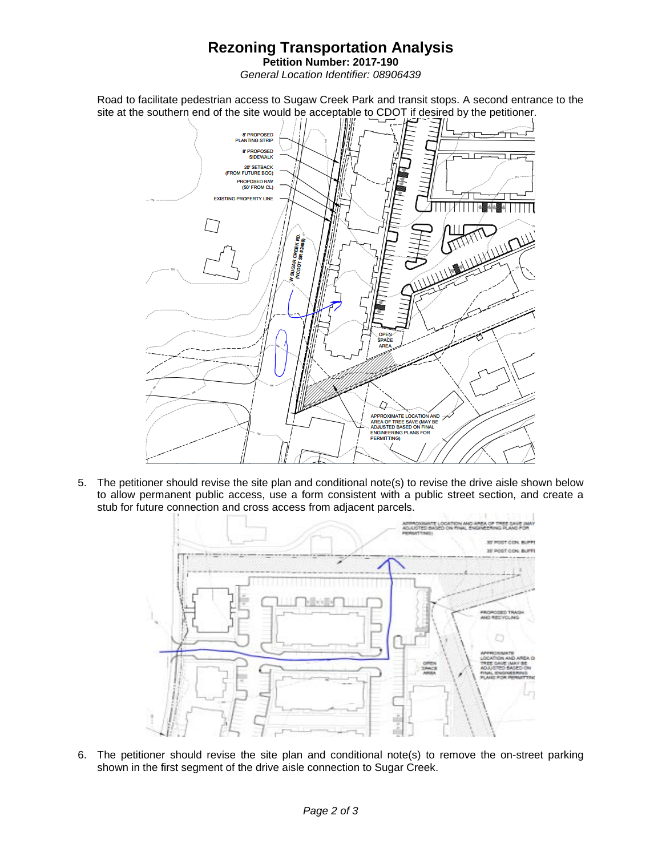# **Rezoning Transportation Analysis**

**Petition Number: 2017-190** *General Location Identifier: 08906439*

Road to facilitate pedestrian access to Sugaw Creek Park and transit stops. A second entrance to the site at the southern end of the site would be acceptable to CDOT if desired by the petitioner.



5. The petitioner should revise the site plan and conditional note(s) to revise the drive aisle shown below to allow permanent public access, use a form consistent with a public street section, and create a stub for future connection and cross access from adjacent parcels.



6. The petitioner should revise the site plan and conditional note(s) to remove the on-street parking shown in the first segment of the drive aisle connection to Sugar Creek.